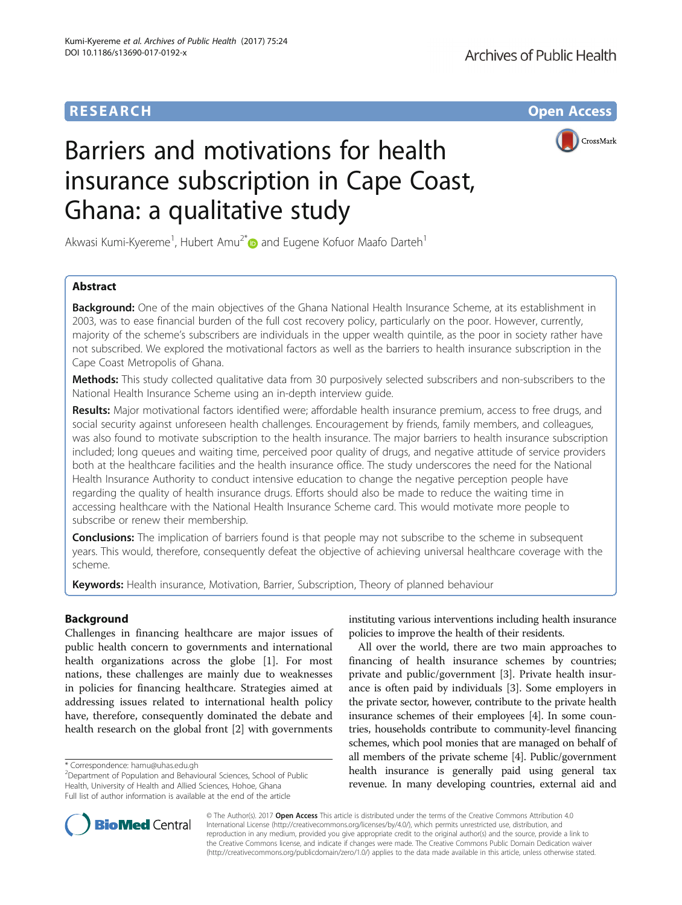# **RESEARCH CHE Open Access**



# Barriers and motivations for health insurance subscription in Cape Coast, Ghana: a qualitative study

Akwasi Kumi-Kyereme<sup>1</sup>, Hubert Amu<sup>2[\\*](http://orcid.org/0000-0003-0218-3843)</sup> and Eugene Kofuor Maafo Darteh<sup>1</sup>

# Abstract

Background: One of the main objectives of the Ghana National Health Insurance Scheme, at its establishment in 2003, was to ease financial burden of the full cost recovery policy, particularly on the poor. However, currently, majority of the scheme's subscribers are individuals in the upper wealth quintile, as the poor in society rather have not subscribed. We explored the motivational factors as well as the barriers to health insurance subscription in the Cape Coast Metropolis of Ghana.

Methods: This study collected qualitative data from 30 purposively selected subscribers and non-subscribers to the National Health Insurance Scheme using an in-depth interview guide.

Results: Major motivational factors identified were; affordable health insurance premium, access to free drugs, and social security against unforeseen health challenges. Encouragement by friends, family members, and colleagues, was also found to motivate subscription to the health insurance. The major barriers to health insurance subscription included; long queues and waiting time, perceived poor quality of drugs, and negative attitude of service providers both at the healthcare facilities and the health insurance office. The study underscores the need for the National Health Insurance Authority to conduct intensive education to change the negative perception people have regarding the quality of health insurance drugs. Efforts should also be made to reduce the waiting time in accessing healthcare with the National Health Insurance Scheme card. This would motivate more people to subscribe or renew their membership.

**Conclusions:** The implication of barriers found is that people may not subscribe to the scheme in subsequent years. This would, therefore, consequently defeat the objective of achieving universal healthcare coverage with the scheme.

Keywords: Health insurance, Motivation, Barrier, Subscription, Theory of planned behaviour

# Background

Challenges in financing healthcare are major issues of public health concern to governments and international health organizations across the globe [[1\]](#page-8-0). For most nations, these challenges are mainly due to weaknesses in policies for financing healthcare. Strategies aimed at addressing issues related to international health policy have, therefore, consequently dominated the debate and health research on the global front [[2\]](#page-8-0) with governments

\* Correspondence: [hamu@uhas.edu.gh](mailto:hamu@uhas.edu.gh) <sup>2</sup>

instituting various interventions including health insurance policies to improve the health of their residents.

All over the world, there are two main approaches to financing of health insurance schemes by countries; private and public/government [[3\]](#page-8-0). Private health insurance is often paid by individuals [[3](#page-8-0)]. Some employers in the private sector, however, contribute to the private health insurance schemes of their employees [\[4\]](#page-8-0). In some countries, households contribute to community-level financing schemes, which pool monies that are managed on behalf of all members of the private scheme [[4\]](#page-8-0). Public/government health insurance is generally paid using general tax revenue. In many developing countries, external aid and



© The Author(s). 2017 **Open Access** This article is distributed under the terms of the Creative Commons Attribution 4.0 International License [\(http://creativecommons.org/licenses/by/4.0/](http://creativecommons.org/licenses/by/4.0/)), which permits unrestricted use, distribution, and reproduction in any medium, provided you give appropriate credit to the original author(s) and the source, provide a link to the Creative Commons license, and indicate if changes were made. The Creative Commons Public Domain Dedication waiver [\(http://creativecommons.org/publicdomain/zero/1.0/](http://creativecommons.org/publicdomain/zero/1.0/)) applies to the data made available in this article, unless otherwise stated.

<sup>&</sup>lt;sup>2</sup>Department of Population and Behavioural Sciences, School of Public Health, University of Health and Allied Sciences, Hohoe, Ghana Full list of author information is available at the end of the article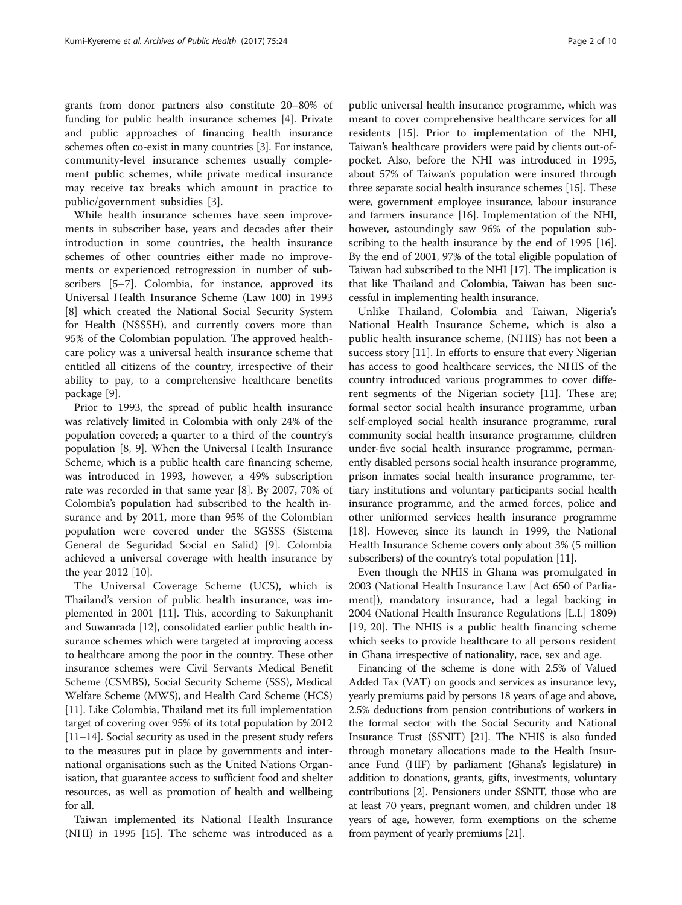grants from donor partners also constitute 20–80% of funding for public health insurance schemes [[4\]](#page-8-0). Private and public approaches of financing health insurance schemes often co-exist in many countries [\[3\]](#page-8-0). For instance, community-level insurance schemes usually complement public schemes, while private medical insurance may receive tax breaks which amount in practice to public/government subsidies [\[3](#page-8-0)].

While health insurance schemes have seen improvements in subscriber base, years and decades after their introduction in some countries, the health insurance schemes of other countries either made no improvements or experienced retrogression in number of subscribers [\[5](#page-8-0)–[7\]](#page-8-0). Colombia, for instance, approved its Universal Health Insurance Scheme (Law 100) in 1993 [[8\]](#page-8-0) which created the National Social Security System for Health (NSSSH), and currently covers more than 95% of the Colombian population. The approved healthcare policy was a universal health insurance scheme that entitled all citizens of the country, irrespective of their ability to pay, to a comprehensive healthcare benefits package [\[9](#page-8-0)].

Prior to 1993, the spread of public health insurance was relatively limited in Colombia with only 24% of the population covered; a quarter to a third of the country's population [[8](#page-8-0), [9](#page-8-0)]. When the Universal Health Insurance Scheme, which is a public health care financing scheme, was introduced in 1993, however, a 49% subscription rate was recorded in that same year [[8\]](#page-8-0). By 2007, 70% of Colombia's population had subscribed to the health insurance and by 2011, more than 95% of the Colombian population were covered under the SGSSS (Sistema General de Seguridad Social en Salid) [[9\]](#page-8-0). Colombia achieved a universal coverage with health insurance by the year 2012 [\[10\]](#page-8-0).

The Universal Coverage Scheme (UCS), which is Thailand's version of public health insurance, was implemented in 2001 [[11](#page-8-0)]. This, according to Sakunphanit and Suwanrada [[12](#page-8-0)], consolidated earlier public health insurance schemes which were targeted at improving access to healthcare among the poor in the country. These other insurance schemes were Civil Servants Medical Benefit Scheme (CSMBS), Social Security Scheme (SSS), Medical Welfare Scheme (MWS), and Health Card Scheme (HCS) [[11](#page-8-0)]. Like Colombia, Thailand met its full implementation target of covering over 95% of its total population by 2012 [[11](#page-8-0)–[14\]](#page-8-0). Social security as used in the present study refers to the measures put in place by governments and international organisations such as the United Nations Organisation, that guarantee access to sufficient food and shelter resources, as well as promotion of health and wellbeing for all.

Taiwan implemented its National Health Insurance (NHI) in 1995 [[15\]](#page-8-0). The scheme was introduced as a public universal health insurance programme, which was meant to cover comprehensive healthcare services for all residents [[15\]](#page-8-0). Prior to implementation of the NHI, Taiwan's healthcare providers were paid by clients out-ofpocket. Also, before the NHI was introduced in 1995, about 57% of Taiwan's population were insured through three separate social health insurance schemes [\[15\]](#page-8-0). These were, government employee insurance, labour insurance and farmers insurance [\[16\]](#page-8-0). Implementation of the NHI,

however, astoundingly saw 96% of the population sub-scribing to the health insurance by the end of 1995 [[16](#page-8-0)]. By the end of 2001, 97% of the total eligible population of Taiwan had subscribed to the NHI [\[17](#page-8-0)]. The implication is that like Thailand and Colombia, Taiwan has been successful in implementing health insurance.

Unlike Thailand, Colombia and Taiwan, Nigeria's National Health Insurance Scheme, which is also a public health insurance scheme, (NHIS) has not been a success story [[11\]](#page-8-0). In efforts to ensure that every Nigerian has access to good healthcare services, the NHIS of the country introduced various programmes to cover different segments of the Nigerian society [\[11\]](#page-8-0). These are; formal sector social health insurance programme, urban self-employed social health insurance programme, rural community social health insurance programme, children under-five social health insurance programme, permanently disabled persons social health insurance programme, prison inmates social health insurance programme, tertiary institutions and voluntary participants social health insurance programme, and the armed forces, police and other uniformed services health insurance programme [[18](#page-8-0)]. However, since its launch in 1999, the National Health Insurance Scheme covers only about 3% (5 million subscribers) of the country's total population [[11](#page-8-0)].

Even though the NHIS in Ghana was promulgated in 2003 (National Health Insurance Law [Act 650 of Parliament]), mandatory insurance, had a legal backing in 2004 (National Health Insurance Regulations [L.I.] 1809) [[19, 20\]](#page-8-0). The NHIS is a public health financing scheme which seeks to provide healthcare to all persons resident in Ghana irrespective of nationality, race, sex and age.

Financing of the scheme is done with 2.5% of Valued Added Tax (VAT) on goods and services as insurance levy, yearly premiums paid by persons 18 years of age and above, 2.5% deductions from pension contributions of workers in the formal sector with the Social Security and National Insurance Trust (SSNIT) [\[21](#page-8-0)]. The NHIS is also funded through monetary allocations made to the Health Insurance Fund (HIF) by parliament (Ghana's legislature) in addition to donations, grants, gifts, investments, voluntary contributions [\[2\]](#page-8-0). Pensioners under SSNIT, those who are at least 70 years, pregnant women, and children under 18 years of age, however, form exemptions on the scheme from payment of yearly premiums [\[21](#page-8-0)].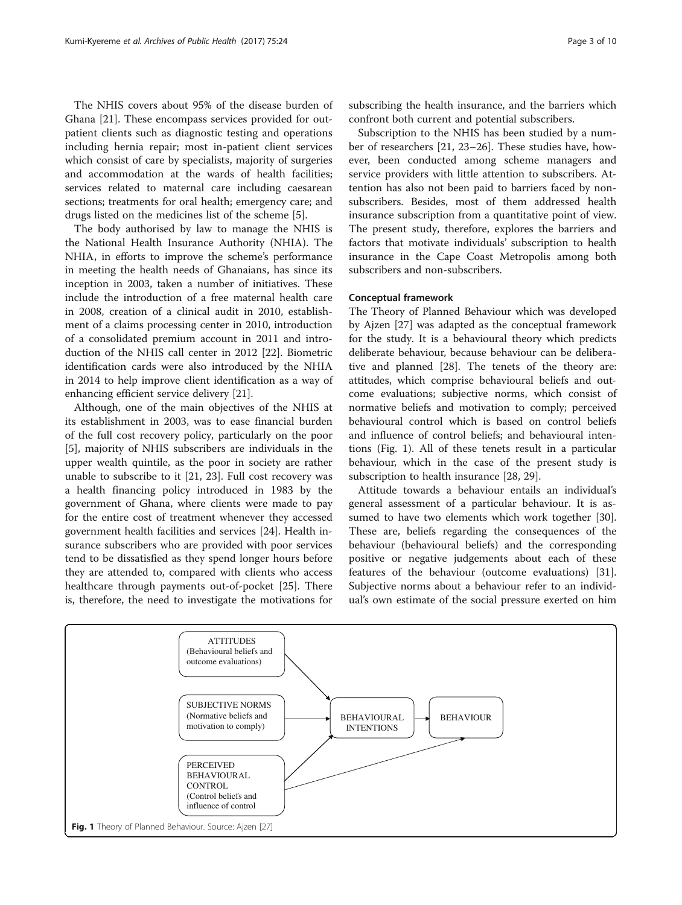The NHIS covers about 95% of the disease burden of Ghana [[21\]](#page-8-0). These encompass services provided for outpatient clients such as diagnostic testing and operations including hernia repair; most in-patient client services which consist of care by specialists, majority of surgeries and accommodation at the wards of health facilities; services related to maternal care including caesarean sections; treatments for oral health; emergency care; and drugs listed on the medicines list of the scheme [\[5](#page-8-0)].

The body authorised by law to manage the NHIS is the National Health Insurance Authority (NHIA). The NHIA, in efforts to improve the scheme's performance in meeting the health needs of Ghanaians, has since its inception in 2003, taken a number of initiatives. These include the introduction of a free maternal health care in 2008, creation of a clinical audit in 2010, establishment of a claims processing center in 2010, introduction of a consolidated premium account in 2011 and introduction of the NHIS call center in 2012 [[22\]](#page-8-0). Biometric identification cards were also introduced by the NHIA in 2014 to help improve client identification as a way of enhancing efficient service delivery [\[21\]](#page-8-0).

Although, one of the main objectives of the NHIS at its establishment in 2003, was to ease financial burden of the full cost recovery policy, particularly on the poor [[5\]](#page-8-0), majority of NHIS subscribers are individuals in the upper wealth quintile, as the poor in society are rather unable to subscribe to it [[21](#page-8-0), [23\]](#page-8-0). Full cost recovery was a health financing policy introduced in 1983 by the government of Ghana, where clients were made to pay for the entire cost of treatment whenever they accessed government health facilities and services [\[24\]](#page-8-0). Health insurance subscribers who are provided with poor services tend to be dissatisfied as they spend longer hours before they are attended to, compared with clients who access healthcare through payments out-of-pocket [[25\]](#page-8-0). There is, therefore, the need to investigate the motivations for subscribing the health insurance, and the barriers which confront both current and potential subscribers.

Subscription to the NHIS has been studied by a number of researchers [[21, 23](#page-8-0)–[26\]](#page-8-0). These studies have, however, been conducted among scheme managers and service providers with little attention to subscribers. Attention has also not been paid to barriers faced by nonsubscribers. Besides, most of them addressed health insurance subscription from a quantitative point of view. The present study, therefore, explores the barriers and factors that motivate individuals' subscription to health insurance in the Cape Coast Metropolis among both subscribers and non-subscribers.

## Conceptual framework

The Theory of Planned Behaviour which was developed by Ajzen [[27\]](#page-8-0) was adapted as the conceptual framework for the study. It is a behavioural theory which predicts deliberate behaviour, because behaviour can be deliberative and planned [\[28](#page-8-0)]. The tenets of the theory are: attitudes, which comprise behavioural beliefs and outcome evaluations; subjective norms, which consist of normative beliefs and motivation to comply; perceived behavioural control which is based on control beliefs and influence of control beliefs; and behavioural intentions (Fig. 1). All of these tenets result in a particular behaviour, which in the case of the present study is subscription to health insurance [[28](#page-8-0), [29](#page-8-0)].

Attitude towards a behaviour entails an individual's general assessment of a particular behaviour. It is assumed to have two elements which work together [\[30](#page-8-0)]. These are, beliefs regarding the consequences of the behaviour (behavioural beliefs) and the corresponding positive or negative judgements about each of these features of the behaviour (outcome evaluations) [\[31](#page-8-0)]. Subjective norms about a behaviour refer to an individual's own estimate of the social pressure exerted on him

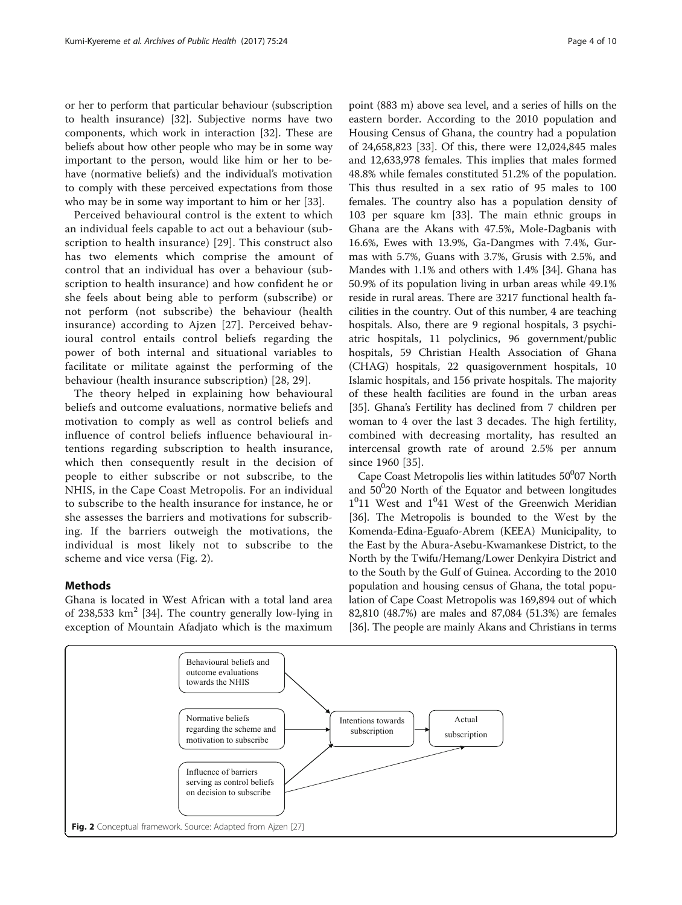or her to perform that particular behaviour (subscription to health insurance) [\[32](#page-9-0)]. Subjective norms have two components, which work in interaction [\[32](#page-9-0)]. These are beliefs about how other people who may be in some way important to the person, would like him or her to behave (normative beliefs) and the individual's motivation to comply with these perceived expectations from those who may be in some way important to him or her [\[33](#page-9-0)].

Perceived behavioural control is the extent to which an individual feels capable to act out a behaviour (subscription to health insurance) [[29\]](#page-8-0). This construct also has two elements which comprise the amount of control that an individual has over a behaviour (subscription to health insurance) and how confident he or she feels about being able to perform (subscribe) or not perform (not subscribe) the behaviour (health insurance) according to Ajzen [[27](#page-8-0)]. Perceived behavioural control entails control beliefs regarding the power of both internal and situational variables to facilitate or militate against the performing of the behaviour (health insurance subscription) [\[28](#page-8-0), [29](#page-8-0)].

The theory helped in explaining how behavioural beliefs and outcome evaluations, normative beliefs and motivation to comply as well as control beliefs and influence of control beliefs influence behavioural intentions regarding subscription to health insurance, which then consequently result in the decision of people to either subscribe or not subscribe, to the NHIS, in the Cape Coast Metropolis. For an individual to subscribe to the health insurance for instance, he or she assesses the barriers and motivations for subscribing. If the barriers outweigh the motivations, the individual is most likely not to subscribe to the scheme and vice versa (Fig. 2).

# **Methods**

Ghana is located in West African with a total land area of 238,533 km<sup>2</sup> [\[34\]](#page-9-0). The country generally low-lying in exception of Mountain Afadjato which is the maximum point (883 m) above sea level, and a series of hills on the eastern border. According to the 2010 population and Housing Census of Ghana, the country had a population of 24,658,823 [[33\]](#page-9-0). Of this, there were 12,024,845 males and 12,633,978 females. This implies that males formed 48.8% while females constituted 51.2% of the population. This thus resulted in a sex ratio of 95 males to 100 females. The country also has a population density of 103 per square km [[33\]](#page-9-0). The main ethnic groups in Ghana are the Akans with 47.5%, Mole-Dagbanis with 16.6%, Ewes with 13.9%, Ga-Dangmes with 7.4%, Gurmas with 5.7%, Guans with 3.7%, Grusis with 2.5%, and Mandes with 1.1% and others with 1.4% [[34](#page-9-0)]. Ghana has 50.9% of its population living in urban areas while 49.1% reside in rural areas. There are 3217 functional health facilities in the country. Out of this number, 4 are teaching hospitals. Also, there are 9 regional hospitals, 3 psychiatric hospitals, 11 polyclinics, 96 government/public hospitals, 59 Christian Health Association of Ghana (CHAG) hospitals, 22 quasigovernment hospitals, 10 Islamic hospitals, and 156 private hospitals. The majority of these health facilities are found in the urban areas [[35\]](#page-9-0). Ghana's Fertility has declined from 7 children per woman to 4 over the last 3 decades. The high fertility, combined with decreasing mortality, has resulted an intercensal growth rate of around 2.5% per annum

Cape Coast Metropolis lies within latitudes  $50^0$ 07 North and 50<sup>0</sup>20 North of the Equator and between longitudes  $1<sup>0</sup>11$  West and  $1<sup>0</sup>41$  West of the Greenwich Meridian [[36](#page-9-0)]. The Metropolis is bounded to the West by the Komenda-Edina-Eguafo-Abrem (KEEA) Municipality, to the East by the Abura-Asebu-Kwamankese District, to the North by the Twifu/Hemang/Lower Denkyira District and to the South by the Gulf of Guinea. According to the 2010 population and housing census of Ghana, the total population of Cape Coast Metropolis was 169,894 out of which 82,810 (48.7%) are males and 87,084 (51.3%) are females [[36](#page-9-0)]. The people are mainly Akans and Christians in terms



since 1960 [[35\]](#page-9-0).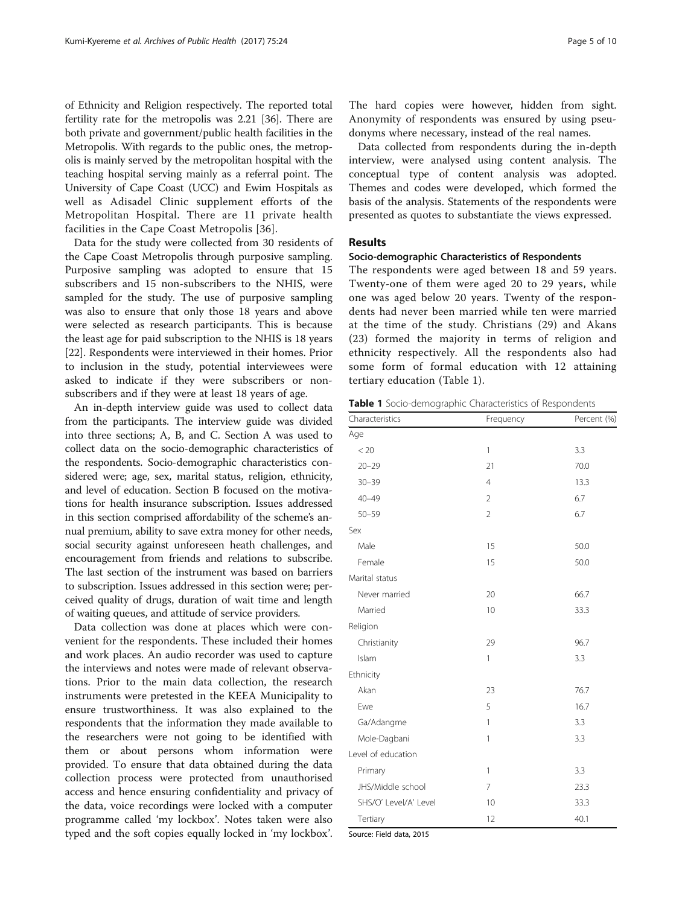of Ethnicity and Religion respectively. The reported total fertility rate for the metropolis was 2.21 [\[36\]](#page-9-0). There are both private and government/public health facilities in the Metropolis. With regards to the public ones, the metropolis is mainly served by the metropolitan hospital with the teaching hospital serving mainly as a referral point. The University of Cape Coast (UCC) and Ewim Hospitals as well as Adisadel Clinic supplement efforts of the Metropolitan Hospital. There are 11 private health facilities in the Cape Coast Metropolis [[36](#page-9-0)].

Data for the study were collected from 30 residents of the Cape Coast Metropolis through purposive sampling. Purposive sampling was adopted to ensure that 15 subscribers and 15 non-subscribers to the NHIS, were sampled for the study. The use of purposive sampling was also to ensure that only those 18 years and above were selected as research participants. This is because the least age for paid subscription to the NHIS is 18 years [[22\]](#page-8-0). Respondents were interviewed in their homes. Prior to inclusion in the study, potential interviewees were asked to indicate if they were subscribers or nonsubscribers and if they were at least 18 years of age.

An in-depth interview guide was used to collect data from the participants. The interview guide was divided into three sections; A, B, and C. Section A was used to collect data on the socio-demographic characteristics of the respondents. Socio-demographic characteristics considered were; age, sex, marital status, religion, ethnicity, and level of education. Section B focused on the motivations for health insurance subscription. Issues addressed in this section comprised affordability of the scheme's annual premium, ability to save extra money for other needs, social security against unforeseen heath challenges, and encouragement from friends and relations to subscribe. The last section of the instrument was based on barriers to subscription. Issues addressed in this section were; perceived quality of drugs, duration of wait time and length of waiting queues, and attitude of service providers.

Data collection was done at places which were convenient for the respondents. These included their homes and work places. An audio recorder was used to capture the interviews and notes were made of relevant observations. Prior to the main data collection, the research instruments were pretested in the KEEA Municipality to ensure trustworthiness. It was also explained to the respondents that the information they made available to the researchers were not going to be identified with them or about persons whom information were provided. To ensure that data obtained during the data collection process were protected from unauthorised access and hence ensuring confidentiality and privacy of the data, voice recordings were locked with a computer programme called 'my lockbox'. Notes taken were also typed and the soft copies equally locked in 'my lockbox'.

The hard copies were however, hidden from sight. Anonymity of respondents was ensured by using pseudonyms where necessary, instead of the real names.

Data collected from respondents during the in-depth interview, were analysed using content analysis. The conceptual type of content analysis was adopted. Themes and codes were developed, which formed the basis of the analysis. Statements of the respondents were presented as quotes to substantiate the views expressed.

# Results

# Socio-demographic Characteristics of Respondents

The respondents were aged between 18 and 59 years. Twenty-one of them were aged 20 to 29 years, while one was aged below 20 years. Twenty of the respondents had never been married while ten were married at the time of the study. Christians (29) and Akans (23) formed the majority in terms of religion and ethnicity respectively. All the respondents also had some form of formal education with 12 attaining tertiary education (Table 1).

Table 1 Socio-demographic Characteristics of Respondents

| Characteristics       | Frequency      | Percent (%) |
|-----------------------|----------------|-------------|
| Age                   |                |             |
| < 20                  | $\mathbf{1}$   | 3.3         |
| $20 - 29$             | 21             | 70.0        |
| $30 - 39$             | $\overline{4}$ | 13.3        |
| $40 - 49$             | $\overline{2}$ | 6.7         |
| $50 - 59$             | $\overline{2}$ | 6.7         |
| Sex                   |                |             |
| Male                  | 15             | 50.0        |
| Female                | 15             | 50.0        |
| Marital status        |                |             |
| Never married         | 20             | 66.7        |
| Married               | 10             | 33.3        |
| Religion              |                |             |
| Christianity          | 29             | 96.7        |
| Islam                 | 1              | 3.3         |
| Ethnicity             |                |             |
| Akan                  | 23             | 76.7        |
| Ewe                   | 5              | 16.7        |
| Ga/Adangme            | $\mathbf{1}$   | 3.3         |
| Mole-Dagbani          | 1              | 3.3         |
| Level of education    |                |             |
| Primary               | $\mathbf{1}$   | 3.3         |
| JHS/Middle school     | $\overline{7}$ | 23.3        |
| SHS/O' Level/A' Level | 10             | 33.3        |
| Tertiary              | 12             | 40.1        |

Source: Field data, 2015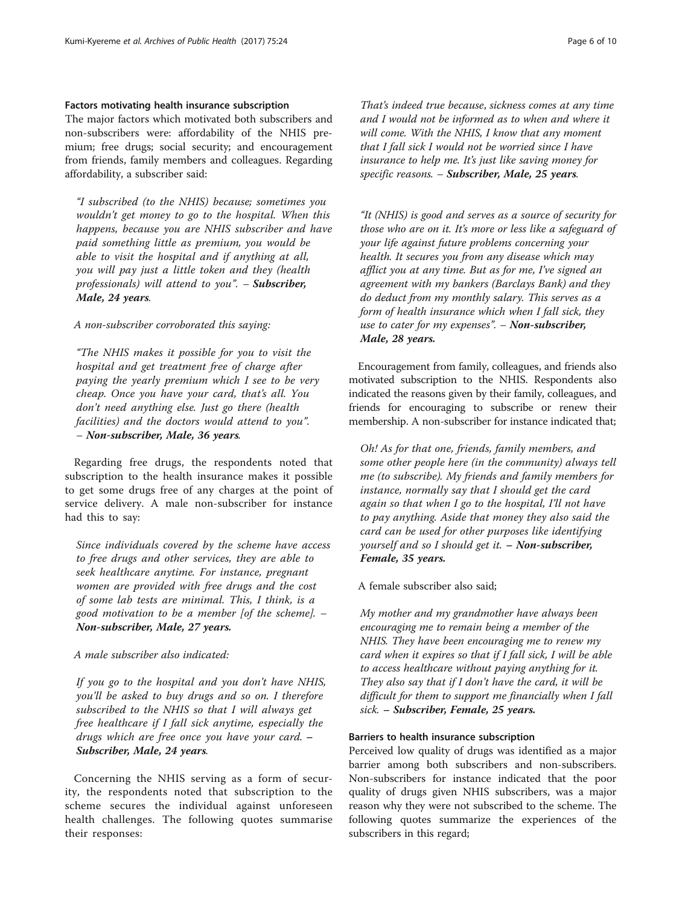# Factors motivating health insurance subscription

The major factors which motivated both subscribers and non-subscribers were: affordability of the NHIS premium; free drugs; social security; and encouragement from friends, family members and colleagues. Regarding affordability, a subscriber said:

"I subscribed (to the NHIS) because; sometimes you wouldn't get money to go to the hospital. When this happens, because you are NHIS subscriber and have paid something little as premium, you would be able to visit the hospital and if anything at all, you will pay just a little token and they (health professionals) will attend to you".  $-$  Subscriber, Male, 24 years.

A non-subscriber corroborated this saying:

"The NHIS makes it possible for you to visit the hospital and get treatment free of charge after paying the yearly premium which I see to be very cheap. Once you have your card, that's all. You don't need anything else. Just go there (health facilities) and the doctors would attend to you". – Non-subscriber, Male, 36 years.

Regarding free drugs, the respondents noted that subscription to the health insurance makes it possible to get some drugs free of any charges at the point of service delivery. A male non-subscriber for instance had this to say:

Since individuals covered by the scheme have access to free drugs and other services, they are able to seek healthcare anytime. For instance, pregnant women are provided with free drugs and the cost of some lab tests are minimal. This, I think, is a good motivation to be a member [of the scheme]. – Non-subscriber, Male, 27 years.

# A male subscriber also indicated:

If you go to the hospital and you don't have NHIS, you'll be asked to buy drugs and so on. I therefore subscribed to the NHIS so that I will always get free healthcare if I fall sick anytime, especially the drugs which are free once you have your card. – Subscriber, Male, 24 years.

Concerning the NHIS serving as a form of security, the respondents noted that subscription to the scheme secures the individual against unforeseen health challenges. The following quotes summarise their responses:

That's indeed true because, sickness comes at any time and I would not be informed as to when and where it will come. With the NHIS, I know that any moment that I fall sick I would not be worried since I have insurance to help me. It's just like saving money for specific reasons. - Subscriber, Male, 25 years.

"It (NHIS) is good and serves as a source of security for those who are on it. It's more or less like a safeguard of your life against future problems concerning your health. It secures you from any disease which may afflict you at any time. But as for me, I've signed an agreement with my bankers (Barclays Bank) and they do deduct from my monthly salary. This serves as a form of health insurance which when I fall sick, they use to cater for my expenses".  $-$  Non-subscriber, Male, 28 years.

Encouragement from family, colleagues, and friends also motivated subscription to the NHIS. Respondents also indicated the reasons given by their family, colleagues, and friends for encouraging to subscribe or renew their membership. A non-subscriber for instance indicated that;

Oh! As for that one, friends, family members, and some other people here (in the community) always tell me (to subscribe). My friends and family members for instance, normally say that I should get the card again so that when I go to the hospital, I'll not have to pay anything. Aside that money they also said the card can be used for other purposes like identifying yourself and so I should get it.  $-$  Non-subscriber, Female, 35 years.

A female subscriber also said;

My mother and my grandmother have always been encouraging me to remain being a member of the NHIS. They have been encouraging me to renew my card when it expires so that if I fall sick, I will be able to access healthcare without paying anything for it. They also say that if I don't have the card, it will be difficult for them to support me financially when I fall sick. – Subscriber, Female, 25 years.

## Barriers to health insurance subscription

Perceived low quality of drugs was identified as a major barrier among both subscribers and non-subscribers. Non-subscribers for instance indicated that the poor quality of drugs given NHIS subscribers, was a major reason why they were not subscribed to the scheme. The following quotes summarize the experiences of the subscribers in this regard;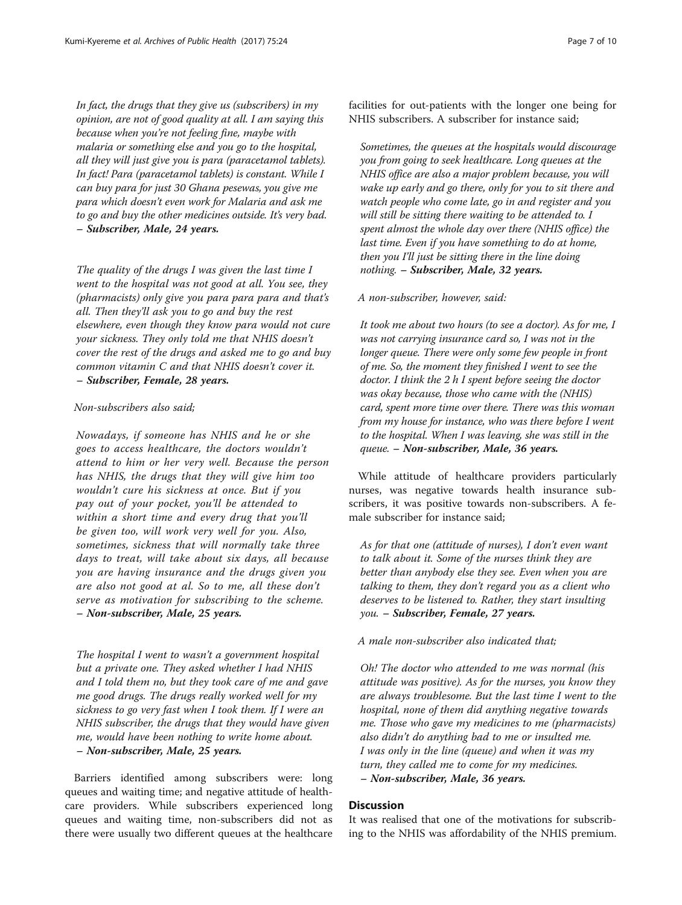In fact, the drugs that they give us (subscribers) in my opinion, are not of good quality at all. I am saying this because when you're not feeling fine, maybe with malaria or something else and you go to the hospital, all they will just give you is para (paracetamol tablets). In fact! Para (paracetamol tablets) is constant. While I can buy para for just 30 Ghana pesewas, you give me para which doesn't even work for Malaria and ask me to go and buy the other medicines outside. It's very bad. – Subscriber, Male, 24 years.

The quality of the drugs I was given the last time I went to the hospital was not good at all. You see, they (pharmacists) only give you para para para and that's all. Then they'll ask you to go and buy the rest elsewhere, even though they know para would not cure your sickness. They only told me that NHIS doesn't cover the rest of the drugs and asked me to go and buy common vitamin C and that NHIS doesn't cover it. – Subscriber, Female, 28 years.

# Non-subscribers also said;

Nowadays, if someone has NHIS and he or she goes to access healthcare, the doctors wouldn't attend to him or her very well. Because the person has NHIS, the drugs that they will give him too wouldn't cure his sickness at once. But if you pay out of your pocket, you'll be attended to within a short time and every drug that you'll be given too, will work very well for you. Also, sometimes, sickness that will normally take three days to treat, will take about six days, all because you are having insurance and the drugs given you are also not good at al. So to me, all these don't serve as motivation for subscribing to the scheme. – Non-subscriber, Male, 25 years.

The hospital I went to wasn't a government hospital but a private one. They asked whether I had NHIS and I told them no, but they took care of me and gave me good drugs. The drugs really worked well for my sickness to go very fast when I took them. If I were an NHIS subscriber, the drugs that they would have given me, would have been nothing to write home about. – Non-subscriber, Male, 25 years.

Barriers identified among subscribers were: long queues and waiting time; and negative attitude of healthcare providers. While subscribers experienced long queues and waiting time, non-subscribers did not as there were usually two different queues at the healthcare

facilities for out-patients with the longer one being for NHIS subscribers. A subscriber for instance said;

Sometimes, the queues at the hospitals would discourage you from going to seek healthcare. Long queues at the NHIS office are also a major problem because, you will wake up early and go there, only for you to sit there and watch people who come late, go in and register and you will still be sitting there waiting to be attended to. I spent almost the whole day over there (NHIS office) the last time. Even if you have something to do at home, then you I'll just be sitting there in the line doing nothing. – Subscriber, Male, 32 years.

## A non-subscriber, however, said:

It took me about two hours (to see a doctor). As for me, I was not carrying insurance card so, I was not in the longer queue. There were only some few people in front of me. So, the moment they finished I went to see the doctor. I think the 2 h I spent before seeing the doctor was okay because, those who came with the (NHIS) card, spent more time over there. There was this woman from my house for instance, who was there before I went to the hospital. When I was leaving, she was still in the queue. – Non-subscriber, Male, 36 years.

While attitude of healthcare providers particularly nurses, was negative towards health insurance subscribers, it was positive towards non-subscribers. A female subscriber for instance said;

As for that one (attitude of nurses), I don't even want to talk about it. Some of the nurses think they are better than anybody else they see. Even when you are talking to them, they don't regard you as a client who deserves to be listened to. Rather, they start insulting you. – Subscriber, Female, 27 years.

# A male non-subscriber also indicated that;

Oh! The doctor who attended to me was normal (his attitude was positive). As for the nurses, you know they are always troublesome. But the last time I went to the hospital, none of them did anything negative towards me. Those who gave my medicines to me (pharmacists) also didn't do anything bad to me or insulted me. I was only in the line (queue) and when it was my turn, they called me to come for my medicines. – Non-subscriber, Male, 36 years.

# **Discussion**

It was realised that one of the motivations for subscribing to the NHIS was affordability of the NHIS premium.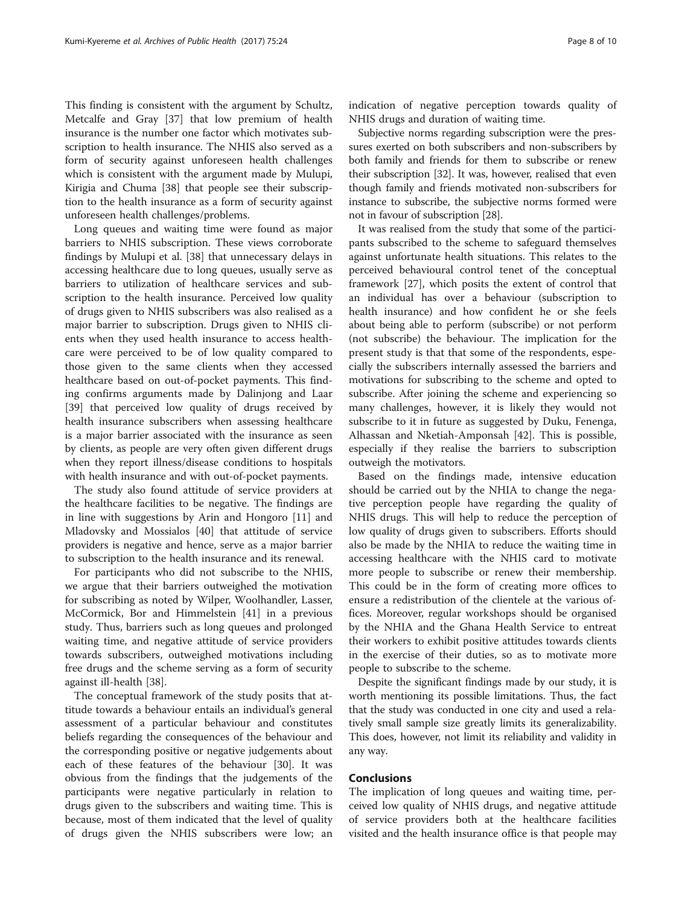This finding is consistent with the argument by Schultz, Metcalfe and Gray [\[37](#page-9-0)] that low premium of health insurance is the number one factor which motivates subscription to health insurance. The NHIS also served as a form of security against unforeseen health challenges which is consistent with the argument made by Mulupi, Kirigia and Chuma [\[38](#page-9-0)] that people see their subscription to the health insurance as a form of security against unforeseen health challenges/problems.

Long queues and waiting time were found as major barriers to NHIS subscription. These views corroborate findings by Mulupi et al. [[38](#page-9-0)] that unnecessary delays in accessing healthcare due to long queues, usually serve as barriers to utilization of healthcare services and subscription to the health insurance. Perceived low quality of drugs given to NHIS subscribers was also realised as a major barrier to subscription. Drugs given to NHIS clients when they used health insurance to access healthcare were perceived to be of low quality compared to those given to the same clients when they accessed healthcare based on out-of-pocket payments. This finding confirms arguments made by Dalinjong and Laar [[39\]](#page-9-0) that perceived low quality of drugs received by health insurance subscribers when assessing healthcare is a major barrier associated with the insurance as seen by clients, as people are very often given different drugs when they report illness/disease conditions to hospitals with health insurance and with out-of-pocket payments.

The study also found attitude of service providers at the healthcare facilities to be negative. The findings are in line with suggestions by Arin and Hongoro [[11](#page-8-0)] and Mladovsky and Mossialos [\[40\]](#page-9-0) that attitude of service providers is negative and hence, serve as a major barrier to subscription to the health insurance and its renewal.

For participants who did not subscribe to the NHIS, we argue that their barriers outweighed the motivation for subscribing as noted by Wilper, Woolhandler, Lasser, McCormick, Bor and Himmelstein [[41\]](#page-9-0) in a previous study. Thus, barriers such as long queues and prolonged waiting time, and negative attitude of service providers towards subscribers, outweighed motivations including free drugs and the scheme serving as a form of security against ill-health [[38](#page-9-0)].

The conceptual framework of the study posits that attitude towards a behaviour entails an individual's general assessment of a particular behaviour and constitutes beliefs regarding the consequences of the behaviour and the corresponding positive or negative judgements about each of these features of the behaviour [\[30\]](#page-8-0). It was obvious from the findings that the judgements of the participants were negative particularly in relation to drugs given to the subscribers and waiting time. This is because, most of them indicated that the level of quality of drugs given the NHIS subscribers were low; an

indication of negative perception towards quality of NHIS drugs and duration of waiting time.

Subjective norms regarding subscription were the pressures exerted on both subscribers and non-subscribers by both family and friends for them to subscribe or renew their subscription [[32](#page-9-0)]. It was, however, realised that even though family and friends motivated non-subscribers for instance to subscribe, the subjective norms formed were not in favour of subscription [\[28\]](#page-8-0).

It was realised from the study that some of the participants subscribed to the scheme to safeguard themselves against unfortunate health situations. This relates to the perceived behavioural control tenet of the conceptual framework [[27\]](#page-8-0), which posits the extent of control that an individual has over a behaviour (subscription to health insurance) and how confident he or she feels about being able to perform (subscribe) or not perform (not subscribe) the behaviour. The implication for the present study is that that some of the respondents, especially the subscribers internally assessed the barriers and motivations for subscribing to the scheme and opted to subscribe. After joining the scheme and experiencing so many challenges, however, it is likely they would not subscribe to it in future as suggested by Duku, Fenenga, Alhassan and Nketiah-Amponsah [\[42\]](#page-9-0). This is possible, especially if they realise the barriers to subscription outweigh the motivators.

Based on the findings made, intensive education should be carried out by the NHIA to change the negative perception people have regarding the quality of NHIS drugs. This will help to reduce the perception of low quality of drugs given to subscribers. Efforts should also be made by the NHIA to reduce the waiting time in accessing healthcare with the NHIS card to motivate more people to subscribe or renew their membership. This could be in the form of creating more offices to ensure a redistribution of the clientele at the various offices. Moreover, regular workshops should be organised by the NHIA and the Ghana Health Service to entreat their workers to exhibit positive attitudes towards clients in the exercise of their duties, so as to motivate more people to subscribe to the scheme.

Despite the significant findings made by our study, it is worth mentioning its possible limitations. Thus, the fact that the study was conducted in one city and used a relatively small sample size greatly limits its generalizability. This does, however, not limit its reliability and validity in any way.

# Conclusions

The implication of long queues and waiting time, perceived low quality of NHIS drugs, and negative attitude of service providers both at the healthcare facilities visited and the health insurance office is that people may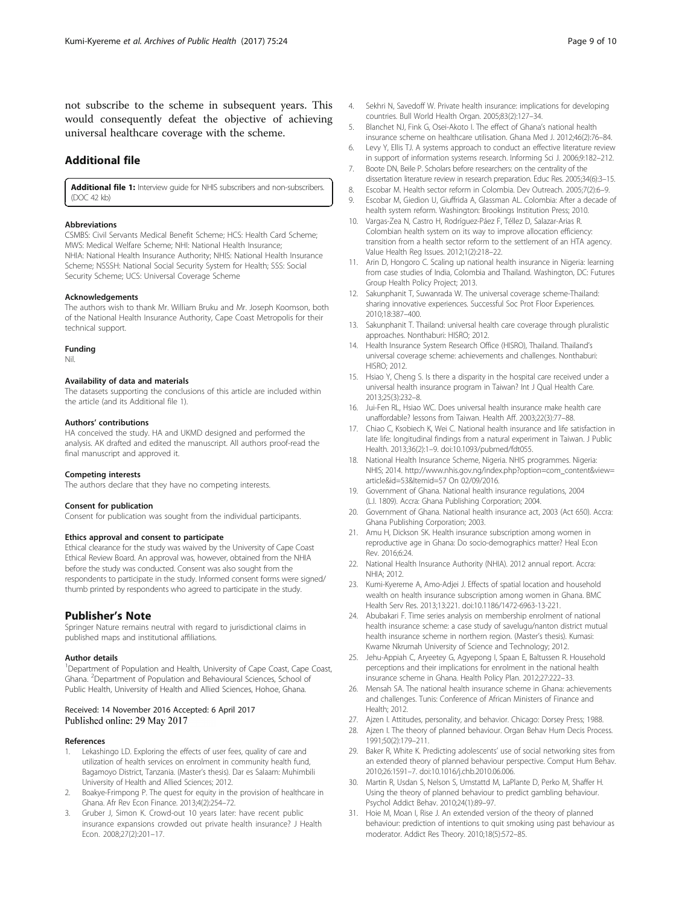<span id="page-8-0"></span>not subscribe to the scheme in subsequent years. This would consequently defeat the objective of achieving universal healthcare coverage with the scheme.

# Additional file

[Additional file 1:](dx.doi.org/10.1186/s13690-017-0192-x) Interview quide for NHIS subscribers and non-subscribers. (DOC 42 kb)

## Abbreviations

CSMBS: Civil Servants Medical Benefit Scheme; HCS: Health Card Scheme; MWS: Medical Welfare Scheme; NHI: National Health Insurance; NHIA: National Health Insurance Authority; NHIS: National Health Insurance Scheme; NSSSH: National Social Security System for Health; SSS: Social Security Scheme; UCS: Universal Coverage Scheme

### Acknowledgements

The authors wish to thank Mr. William Bruku and Mr. Joseph Koomson, both of the National Health Insurance Authority, Cape Coast Metropolis for their technical support.

## Funding

Nil.

# Availability of data and materials

The datasets supporting the conclusions of this article are included within the article (and its Additional file 1).

## Authors' contributions

HA conceived the study. HA and UKMD designed and performed the analysis. AK drafted and edited the manuscript. All authors proof-read the final manuscript and approved it.

### Competing interests

The authors declare that they have no competing interests.

## Consent for publication

Consent for publication was sought from the individual participants.

## Ethics approval and consent to participate

Ethical clearance for the study was waived by the University of Cape Coast Ethical Review Board. An approval was, however, obtained from the NHIA before the study was conducted. Consent was also sought from the respondents to participate in the study. Informed consent forms were signed/ thumb printed by respondents who agreed to participate in the study.

# Publisher's Note

Springer Nature remains neutral with regard to jurisdictional claims in published maps and institutional affiliations.

### Author details

<sup>1</sup>Department of Population and Health, University of Cape Coast, Cape Coast, Ghana. <sup>2</sup>Department of Population and Behavioural Sciences, School of Public Health, University of Health and Allied Sciences, Hohoe, Ghana.

## Received: 14 November 2016 Accepted: 6 April 2017 Published online: 29 May 2017

## References

- 1. Lekashingo LD. Exploring the effects of user fees, quality of care and utilization of health services on enrolment in community health fund, Bagamoyo District, Tanzania. (Master's thesis). Dar es Salaam: Muhimbili University of Health and Allied Sciences; 2012.
- 2. Boakye-Frimpong P. The quest for equity in the provision of healthcare in Ghana. Afr Rev Econ Finance. 2013;4(2):254–72.
- Gruber J, Simon K. Crowd-out 10 years later: have recent public insurance expansions crowded out private health insurance? J Health Econ. 2008;27(2):201–17.
- 4. Sekhri N, Savedoff W. Private health insurance: implications for developing countries. Bull World Health Organ. 2005;83(2):127–34.
- 5. Blanchet NJ, Fink G, Osei-Akoto I. The effect of Ghana's national health insurance scheme on healthcare utilisation. Ghana Med J. 2012;46(2):76–84.
- 6. Levy Y, Ellis TJ. A systems approach to conduct an effective literature review in support of information systems research. Informing Sci J. 2006;9:182–212.
- 7. Boote DN, Beile P. Scholars before researchers: on the centrality of the dissertation literature review in research preparation. Educ Res. 2005;34(6):3–15.
- 8. Escobar M. Health sector reform in Colombia. Dev Outreach. 2005;7(2):6–9.
- 9. Escobar M, Giedion U, Giuffrida A, Glassman AL. Colombia: After a decade of health system reform. Washington: Brookings Institution Press; 2010.
- 10. Vargas-Zea N, Castro H, Rodríguez-Páez F, Téllez D, Salazar-Arias R. Colombian health system on its way to improve allocation efficiency: transition from a health sector reform to the settlement of an HTA agency. Value Health Reg Issues. 2012;1(2):218–22.
- 11. Arin D, Hongoro C. Scaling up national health insurance in Nigeria: learning from case studies of India, Colombia and Thailand. Washington, DC: Futures Group Health Policy Project; 2013.
- 12. Sakunphanit T, Suwanrada W. The universal coverage scheme-Thailand: sharing innovative experiences. Successful Soc Prot Floor Experiences. 2010;18:387–400.
- 13. Sakunphanit T. Thailand: universal health care coverage through pluralistic approaches. Nonthaburi: HISRO; 2012.
- 14. Health Insurance System Research Office (HISRO), Thailand. Thailand's universal coverage scheme: achievements and challenges. Nonthaburi: HISRO; 2012.
- 15. Hsiao Y, Cheng S. Is there a disparity in the hospital care received under a universal health insurance program in Taiwan? Int J Qual Health Care. 2013;25(3):232–8.
- 16. Jui-Fen RL, Hsiao WC. Does universal health insurance make health care unaffordable? lessons from Taiwan. Health Aff. 2003;22(3):77–88.
- 17. Chiao C, Ksobiech K, Wei C. National health insurance and life satisfaction in late life: longitudinal findings from a natural experiment in Taiwan. J Public Health. 2013;36(2):1–9. doi[:10.1093/pubmed/fdt055.](http://dx.doi.org/10.1093/pubmed/fdt055)
- 18. National Health Insurance Scheme, Nigeria. NHIS programmes. Nigeria: NHIS; 2014. [http://www.nhis.gov.ng/index.php?option=com\\_content&view=](http://www.nhis.gov.ng/index.php?option=com_content&view=article&id=53&Itemid=57) [article&id=53&Itemid=57](http://www.nhis.gov.ng/index.php?option=com_content&view=article&id=53&Itemid=57) On 02/09/2016.
- 19. Government of Ghana. National health insurance regulations, 2004 (L.I. 1809). Accra: Ghana Publishing Corporation; 2004.
- 20. Government of Ghana. National health insurance act, 2003 (Act 650). Accra: Ghana Publishing Corporation; 2003.
- 21. Amu H, Dickson SK. Health insurance subscription among women in reproductive age in Ghana: Do socio-demographics matter? Heal Econ Rev. 2016;6:24.
- 22. National Health Insurance Authority (NHIA). 2012 annual report. Accra: NHIA; 2012.
- 23. Kumi-Kyereme A, Amo-Adjei J. Effects of spatial location and household wealth on health insurance subscription among women in Ghana. BMC Health Serv Res. 2013;13:221. doi[:10.1186/1472-6963-13-221.](http://dx.doi.org/10.1186/1472-6963-13-221)
- 24. Abubakari F. Time series analysis on membership enrolment of national health insurance scheme: a case study of savelugu/nanton district mutual health insurance scheme in northern region. (Master's thesis). Kumasi: Kwame Nkrumah University of Science and Technology; 2012.
- 25. Jehu-Appiah C, Aryeetey G, Agyepong I, Spaan E, Baltussen R. Household perceptions and their implications for enrolment in the national health insurance scheme in Ghana. Health Policy Plan. 2012;27:222–33.
- 26. Mensah SA. The national health insurance scheme in Ghana: achievements and challenges. Tunis: Conference of African Ministers of Finance and Health; 2012.
- 27. Ajzen I. Attitudes, personality, and behavior. Chicago: Dorsey Press; 1988.
- 28. Ajzen I. The theory of planned behaviour. Organ Behav Hum Decis Process. 1991;50(2):179–211.
- 29. Baker R, White K. Predicting adolescents' use of social networking sites from an extended theory of planned behaviour perspective. Comput Hum Behav. 2010;26:1591–7. doi:[10.1016/j.chb.2010.06.006.](http://dx.doi.org/10.1016/j.chb.2010.06.006)
- 30. Martin R, Usdan S, Nelson S, Umstattd M, LaPlante D, Perko M, Shaffer H. Using the theory of planned behaviour to predict gambling behaviour. Psychol Addict Behav. 2010;24(1):89–97.
- 31. Hoie M, Moan I, Rise J. An extended version of the theory of planned behaviour: prediction of intentions to quit smoking using past behaviour as moderator. Addict Res Theory. 2010;18(5):572–85.